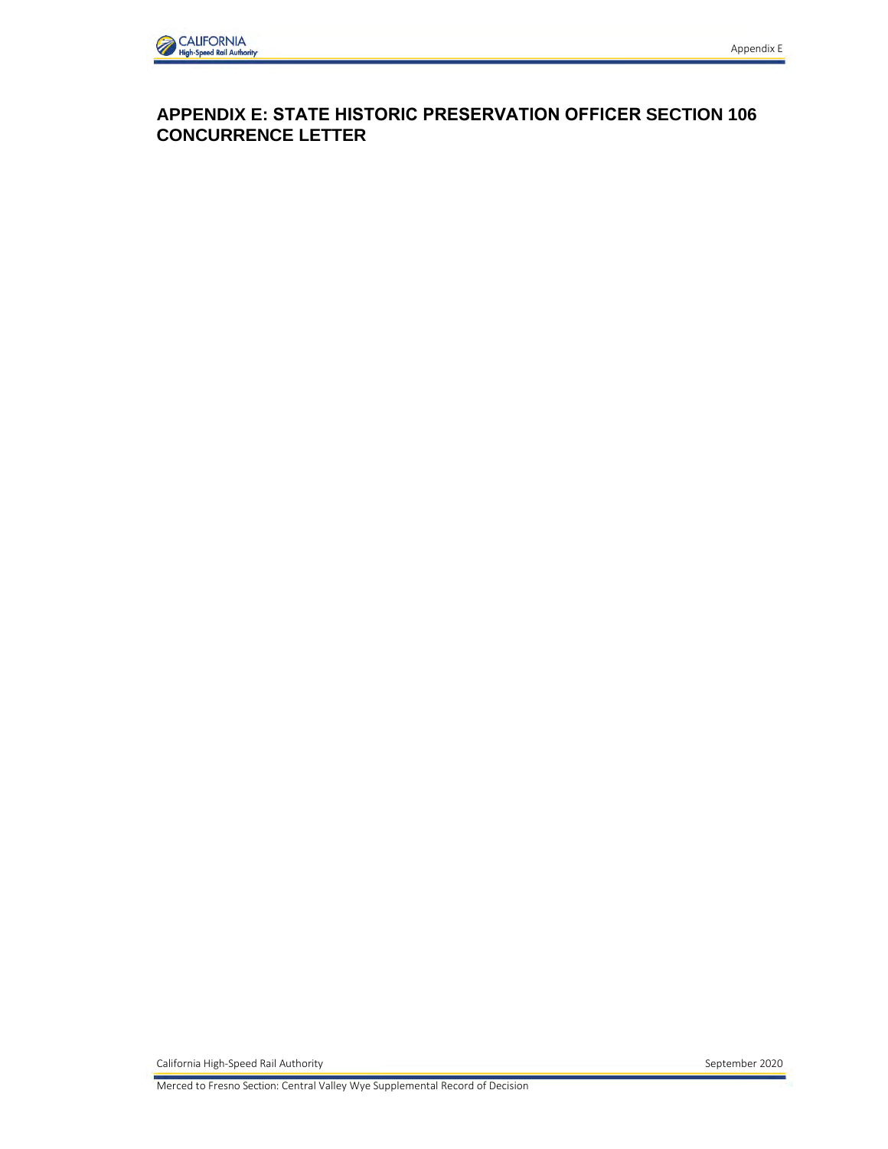

## APPENDIX E: STATE HISTORIC PRESERVATION OFFICER SECTION 106 **CONCURRENCE LETTER**

California High-Speed Rail Authority

Merced to Fresno Section: Central Valley Wye Supplemental Record of Decision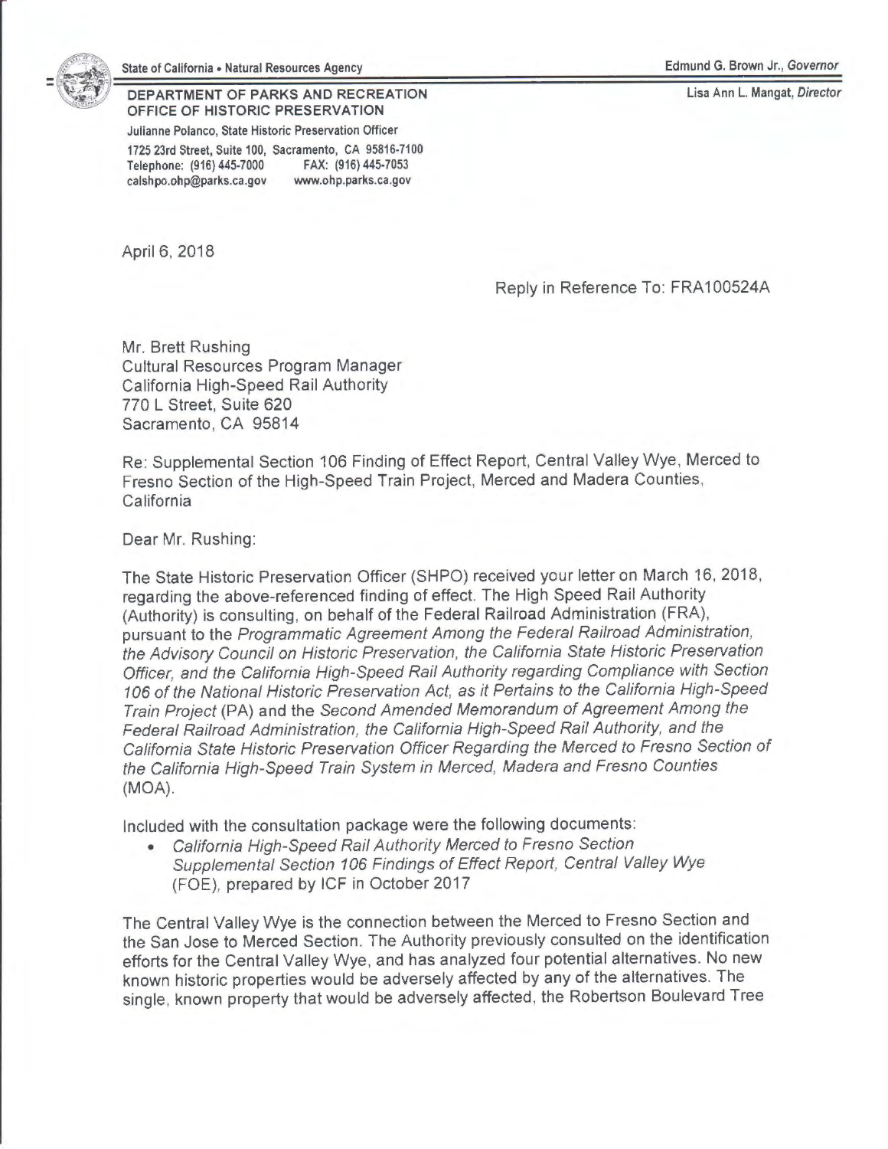

## State of California • Natural Resources Agency

**DEPARTMENT OF PARKS AND RECREATION OFFICE OF HISTORIC PRESERVATION** 

**Julianne Polanco, State Historic Preservation Officer** 

**1725 23rd Street, Suite 100, Sacramento, CA 95816-7100 Telephone: (916) 445-7000 FAX: (916) 445-7053 calshpo.ohp@parks.ca.gov www.ohp.parks.ca.gov** 

April 6, 2018

## Edmund G. Brown Jr., Governor

**Lisa Ann** L. **Mangat, Director** 

Reply in Reference To: FRA100524A

Mr. Brett Rushing Cultural Resources Program Manager California High-Speed Rail Authority 770 L Street, Suite 620 Sacramento, CA 95814

Re: Supplemental Section 106 Finding of Effect Report, Central Valley Wye, Merced to Fresno Section of the High-Speed Train Project, Merced and Madera Counties, California

Dear Mr. Rushing:

The State Historic Preservation Officer (SHPO) received your letter on March 16, 2018, regarding the above-referenced finding of effect. The High Speed Rail Authority (Authority) is consulting, on behalf of the Federal Railroad Administration (FRA), pursuant to the Programmatic Agreement Among the Federal Railroad Administration, the Advisory Council on Historic Preservation, the California State Historic Preservation Officer, and the California High-Speed Rail Authority regarding Compliance with Section 106 of the National Historic Preservation Act, as it Pertains to the California High-Speed Train Project (PA) and the Second Amended Memorandum of Agreement Among the Federal Railroad Administration, the California High-Speed Rail Authority, and the California State Historic Preservation Officer Regarding the Merced to Fresno Section of the California High-Speed Train System in Merced, Madera and Fresno Counties **(MOA).** 

Included with the consultation package were the following documents:

• California High-Speed Rail Authority Merced to Fresno Section Supplemental Section 106 Findings of Effect Report, Central Valley Wye (FOE), prepared by ICF in October 2017

The Central Valley Wye is the connection between the Merced to Fresno Section and the San Jose to Merced Section. The Authority previously consulted on the identification efforts for the Central Valley Wye, and has analyzed four potential alternatives. No new known historic properties would be adversely affected by any of the alternatives. The single, known property that would be adversely affected, the Robertson Boulevard Tree